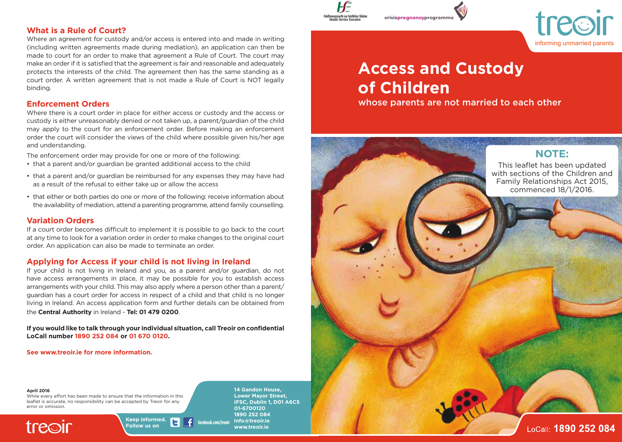## **What is a Rule of Court?**

Where an agreement for custody and/or access is entered into and made in writing (including written agreements made during mediation), an application can then be made to court for an order to make that agreement a Rule of Court. The court may make an order if it is satisfied that the agreement is fair and reasonable and adequately protects the interests of the child. The agreement then has the same standing as a court order. A written agreement that is not made a Rule of Court is NOT legally binding.

# **Enforcement Orders**

Where there is a court order in place for either access or custody and the access or custody is either unreasonably denied or not taken up, a parent/guardian of the child may apply to the court for an enforcement order. Before making an enforcement order the court will consider the views of the child where possible given his/her age and understanding.

The enforcement order may provide for one or more of the following:

- that a parent and/or guardian be granted additional access to the child
- that a parent and/or guardian be reimbursed for any expenses they may have had as a result of the refusal to either take up or allow the access
- that either or both parties do one or more of the following: receive information about the availability of mediation, attend a parenting programme, attend family counselling.

## **Variation Orders**

If a court order becomes difficult to implement it is possible to go back to the court at any time to look for a variation order in order to make changes to the original court order. An application can also be made to terminate an order.

# **Applying for Access if your child is not living in Ireland**

If your child is not living in Ireland and you, as a parent and/or guardian, do not have access arrangements in place, it may be possible for you to establish access arrangements with your child. This may also apply where a person other than a parent/ guardian has a court order for access in respect of a child and that child is no longer living in Ireland. An access application form and further details can be obtained from the **Central Authority** in Ireland - **Tel: 01 479 0200**.

**If you would like to talk through your individual situation, call Treoir on confidential LoCall number 1890 252 084 or 01 670 0120.** 

**Follow us on**

**See www.treoir.ie for more information.**

#### **April 2016**

While every effort has been made to ensure that the information in this leaflet is accurate, no responsibility can be accepted by Treoir for any error or omission.

**trecir** 

**Keep informed. facebook.com/treoir**

**14 Gandon House, Lower Mayor Street, IFSC, Dublin 1, D01 A6C5**

**01-6700120 1890 252 084 info@treoir.ie www.treoir.ie**



informing unmarried parents

# **Access and Custody of Children**

whose parents are not married to each other



LoCall: 1890 252 084